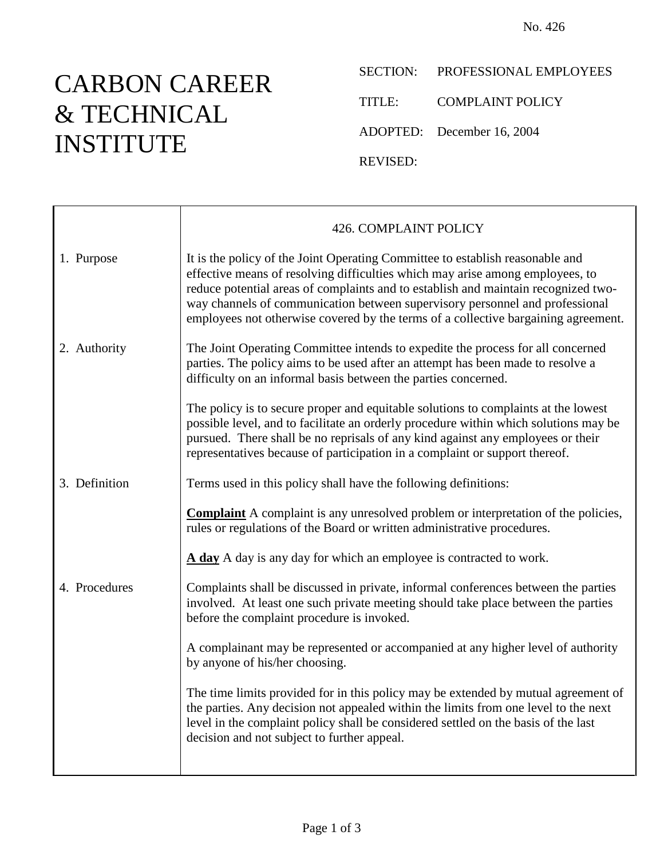## CARBON CAREER & TECHNICAL INSTITUTE

 $\blacksquare$ 

SECTION: PROFESSIONAL EMPLOYEES TITLE: COMPLAINT POLICY ADOPTED: December 16, 2004 REVISED:

|               | 426. COMPLAINT POLICY                                                                                                                                                                                                                                                                                                                                                                                                      |
|---------------|----------------------------------------------------------------------------------------------------------------------------------------------------------------------------------------------------------------------------------------------------------------------------------------------------------------------------------------------------------------------------------------------------------------------------|
| 1. Purpose    | It is the policy of the Joint Operating Committee to establish reasonable and<br>effective means of resolving difficulties which may arise among employees, to<br>reduce potential areas of complaints and to establish and maintain recognized two-<br>way channels of communication between supervisory personnel and professional<br>employees not otherwise covered by the terms of a collective bargaining agreement. |
| 2. Authority  | The Joint Operating Committee intends to expedite the process for all concerned<br>parties. The policy aims to be used after an attempt has been made to resolve a<br>difficulty on an informal basis between the parties concerned.                                                                                                                                                                                       |
|               | The policy is to secure proper and equitable solutions to complaints at the lowest<br>possible level, and to facilitate an orderly procedure within which solutions may be<br>pursued. There shall be no reprisals of any kind against any employees or their<br>representatives because of participation in a complaint or support thereof.                                                                               |
| 3. Definition | Terms used in this policy shall have the following definitions:                                                                                                                                                                                                                                                                                                                                                            |
|               | <b>Complaint</b> A complaint is any unresolved problem or interpretation of the policies,<br>rules or regulations of the Board or written administrative procedures.                                                                                                                                                                                                                                                       |
|               | A day A day is any day for which an employee is contracted to work.                                                                                                                                                                                                                                                                                                                                                        |
| 4. Procedures | Complaints shall be discussed in private, informal conferences between the parties<br>involved. At least one such private meeting should take place between the parties<br>before the complaint procedure is invoked.                                                                                                                                                                                                      |
|               | A complainant may be represented or accompanied at any higher level of authority<br>by anyone of his/her choosing.                                                                                                                                                                                                                                                                                                         |
|               | The time limits provided for in this policy may be extended by mutual agreement of<br>the parties. Any decision not appealed within the limits from one level to the next<br>level in the complaint policy shall be considered settled on the basis of the last<br>decision and not subject to further appeal.                                                                                                             |
|               |                                                                                                                                                                                                                                                                                                                                                                                                                            |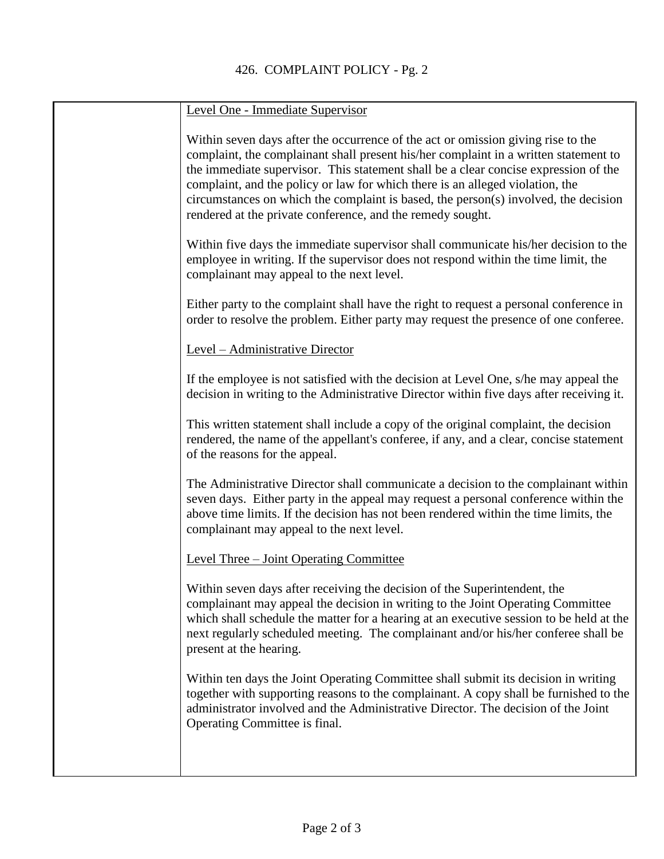| Level One - Immediate Supervisor                                                                                                                                                                                                                                                                                                                                                                                                                                                                      |
|-------------------------------------------------------------------------------------------------------------------------------------------------------------------------------------------------------------------------------------------------------------------------------------------------------------------------------------------------------------------------------------------------------------------------------------------------------------------------------------------------------|
| Within seven days after the occurrence of the act or omission giving rise to the<br>complaint, the complainant shall present his/her complaint in a written statement to<br>the immediate supervisor. This statement shall be a clear concise expression of the<br>complaint, and the policy or law for which there is an alleged violation, the<br>circumstances on which the complaint is based, the person(s) involved, the decision<br>rendered at the private conference, and the remedy sought. |
| Within five days the immediate supervisor shall communicate his/her decision to the<br>employee in writing. If the supervisor does not respond within the time limit, the<br>complainant may appeal to the next level.                                                                                                                                                                                                                                                                                |
| Either party to the complaint shall have the right to request a personal conference in<br>order to resolve the problem. Either party may request the presence of one conferee.                                                                                                                                                                                                                                                                                                                        |
| Level - Administrative Director                                                                                                                                                                                                                                                                                                                                                                                                                                                                       |
| If the employee is not satisfied with the decision at Level One, s/he may appeal the<br>decision in writing to the Administrative Director within five days after receiving it.                                                                                                                                                                                                                                                                                                                       |
| This written statement shall include a copy of the original complaint, the decision<br>rendered, the name of the appellant's conferee, if any, and a clear, concise statement<br>of the reasons for the appeal.                                                                                                                                                                                                                                                                                       |
| The Administrative Director shall communicate a decision to the complainant within<br>seven days. Either party in the appeal may request a personal conference within the<br>above time limits. If the decision has not been rendered within the time limits, the<br>complainant may appeal to the next level.                                                                                                                                                                                        |
| Level Three – Joint Operating Committee                                                                                                                                                                                                                                                                                                                                                                                                                                                               |
| Within seven days after receiving the decision of the Superintendent, the<br>complainant may appeal the decision in writing to the Joint Operating Committee<br>which shall schedule the matter for a hearing at an executive session to be held at the<br>next regularly scheduled meeting. The complainant and/or his/her conferee shall be<br>present at the hearing.                                                                                                                              |
| Within ten days the Joint Operating Committee shall submit its decision in writing<br>together with supporting reasons to the complainant. A copy shall be furnished to the<br>administrator involved and the Administrative Director. The decision of the Joint<br>Operating Committee is final.                                                                                                                                                                                                     |
|                                                                                                                                                                                                                                                                                                                                                                                                                                                                                                       |